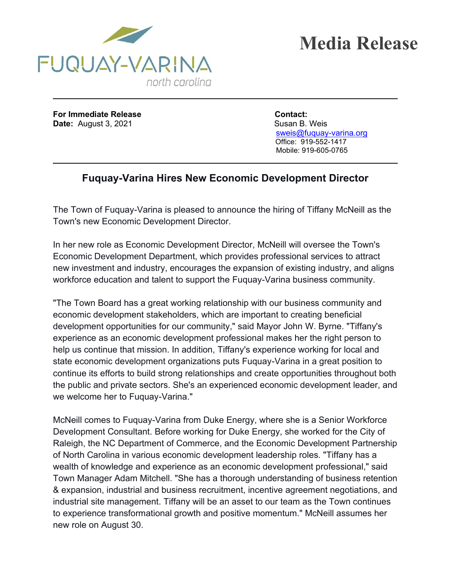



**For Immediate Release <b>Contact: Date:** August 3, 2021 Susan B. Weis

 [sweis@fuquay-varina.org](mailto:sweis@fuquay-varina.org) Office: 919-552-1417 Mobile: 919-605-0765

## **Fuquay-Varina Hires New Economic Development Director**

The Town of Fuquay-Varina is pleased to announce the hiring of Tiffany McNeill as the Town's new Economic Development Director.

In her new role as Economic Development Director, McNeill will oversee the Town's Economic Development Department, which provides professional services to attract new investment and industry, encourages the expansion of existing industry, and aligns workforce education and talent to support the Fuquay-Varina business community.

"The Town Board has a great working relationship with our business community and economic development stakeholders, which are important to creating beneficial development opportunities for our community," said Mayor John W. Byrne. "Tiffany's experience as an economic development professional makes her the right person to help us continue that mission. In addition, Tiffany's experience working for local and state economic development organizations puts Fuquay-Varina in a great position to continue its efforts to build strong relationships and create opportunities throughout both the public and private sectors. She's an experienced economic development leader, and we welcome her to Fuquay-Varina."

McNeill comes to Fuquay-Varina from Duke Energy, where she is a Senior Workforce Development Consultant. Before working for Duke Energy, she worked for the City of Raleigh, the NC Department of Commerce, and the Economic Development Partnership of North Carolina in various economic development leadership roles. "Tiffany has a wealth of knowledge and experience as an economic development professional," said Town Manager Adam Mitchell. "She has a thorough understanding of business retention & expansion, industrial and business recruitment, incentive agreement negotiations, and industrial site management. Tiffany will be an asset to our team as the Town continues to experience transformational growth and positive momentum." McNeill assumes her new role on August 30.